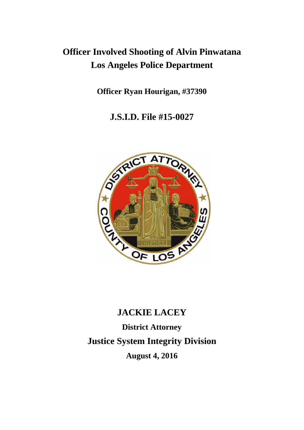## **Officer Involved Shooting of Alvin Pinwatana Los Angeles Police Department**

**Officer Ryan Hourigan, #37390** 

**J.S.I.D. File #15-0027** 



# **JACKIE LACEY District Attorney Justice System Integrity Division August 4, 2016**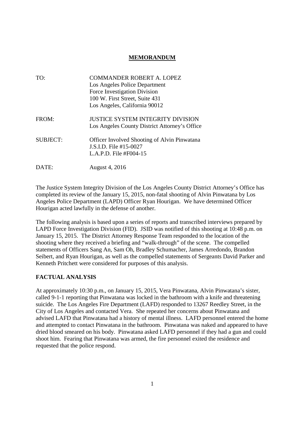### **MEMORANDUM**

| TO:             | <b>COMMANDER ROBERT A. LOPEZ</b>                    |
|-----------------|-----------------------------------------------------|
|                 | Los Angeles Police Department                       |
|                 | Force Investigation Division                        |
|                 | 100 W. First Street, Suite 431                      |
|                 | Los Angeles, California 90012                       |
| FROM:           | <b>JUSTICE SYSTEM INTEGRITY DIVISION</b>            |
|                 | Los Angeles County District Attorney's Office       |
| <b>SUBJECT:</b> | <b>Officer Involved Shooting of Alvin Pinwatana</b> |
|                 | J.S.I.D. File #15-0027                              |
|                 | L.A.P.D. File $#F004-15$                            |
| DATE:           | August 4, 2016                                      |

The Justice System Integrity Division of the Los Angeles County District Attorney's Office has completed its review of the January 15, 2015, non-fatal shooting of Alvin Pinwatana by Los Angeles Police Department (LAPD) Officer Ryan Hourigan. We have determined Officer Hourigan acted lawfully in the defense of another.

The following analysis is based upon a series of reports and transcribed interviews prepared by LAPD Force Investigation Division (FID). JSID was notified of this shooting at 10:48 p.m. on January 15, 2015. The District Attorney Response Team responded to the location of the shooting where they received a briefing and "walk-through" of the scene. The compelled statements of Officers Sang An, Sam Oh, Bradley Schumacher, James Arredondo, Brandon Seibert, and Ryan Hourigan, as well as the compelled statements of Sergeants David Parker and Kenneth Pritchett were considered for purposes of this analysis.

#### **FACTUAL ANALYSIS**

At approximately 10:30 p.m., on January 15, 2015, Vera Pinwatana, Alvin Pinwatana's sister, called 9-1-1 reporting that Pinwatana was locked in the bathroom with a knife and threatening suicide. The Los Angeles Fire Department (LAFD) responded to 13267 Reedley Street, in the City of Los Angeles and contacted Vera. She repeated her concerns about Pinwatana and advised LAFD that Pinwatana had a history of mental illness. LAFD personnel entered the home and attempted to contact Pinwatana in the bathroom. Pinwatana was naked and appeared to have dried blood smeared on his body. Pinwatana asked LAFD personnel if they had a gun and could shoot him. Fearing that Pinwatana was armed, the fire personnel exited the residence and requested that the police respond.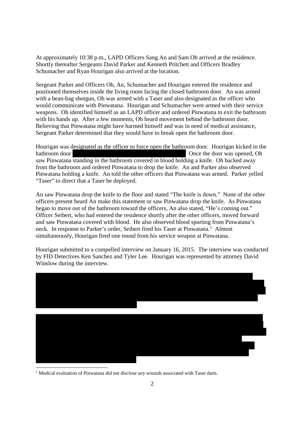At approximately 10:38 p.m., LAPD Officers Sang An and Sam Oh arrived at the residence. Shortly thereafter Sergeants David Parker and Kenneth Pritchett and Officers Bradley Schumacher and Ryan Hourigan also arrived at the location.

Sergeant Parker and Officers Oh, An, Schumacher and Hourigan entered the residence and positioned themselves inside the living room facing the closed bathroom door. An was armed with a bean-bag shotgun, Oh was armed with a Taser and also designated as the officer who would communicate with Pinwatana. Hourigan and Schumacher were armed with their service weapons. Oh identified himself as an LAPD officer and ordered Pinwatana to exit the bathroom with his hands up. After a few moments, Oh heard movement behind the bathroom door. Believing that Pinwatana might have harmed himself and was in need of medical assistance, Sergeant Parker determined that they would have to break open the bathroom door.

Hourigan was designated as the officer to force open the bathroom door. Hourigan kicked in the bathroom door **Once the door was opened**, Oh saw Pinwatana standing in the bathroom covered in blood holding a knife. Oh backed away from the bathroom and ordered Pinwatana to drop the knife. An and Parker also observed Pinwatana holding a knife. An told the other officers that Pinwatana was armed. Parker yelled "Taser" to direct that a Taser be deployed.

An saw Pinwatana drop the knife to the floor and stated "The knife is down." None of the other officers present heard An make this statement or saw Pinwatana drop the knife. As Pinwatana began to move out of the bathroom toward the officers, An also stated, "He's coming out." Officer Seibert, who had entered the residence shortly after the other officers, moved forward and saw Pinwatana covered with blood. He also observed blood spurting from Pinwatana's neck. In response to Parker's order, Seibert fired his Taser at Pinwatana.<sup>1</sup> Almost simultaneously, Hourigan fired one round from his service weapon at Pinwatana.

Hourigan submitted to a compelled interview on January 16, 2015. The interview was conducted by FID Detectives Ken Sanchez and Tyler Lee. Hourigan was represented by attorney David Winslow during the interview.



<sup>&</sup>lt;sup>1</sup> Medical evaluation of Pinwatana did not disclose any wounds associated with Taser darts.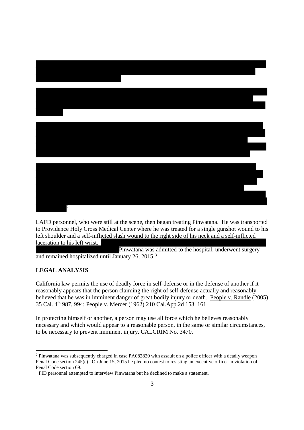

LAFD personnel, who were still at the scene, then began treating Pinwatana. He was transported to Providence Holy Cross Medical Center where he was treated for a single gunshot wound to his left shoulder and a self-inflicted slash wound to the right side of his neck and a self-inflicted laceration to his left wrist.

Pinwatana was admitted to the hospital, underwent surgery and remained hospitalized until January 26, 2015.<sup>3</sup>

#### **LEGAL ANALYSIS**

California law permits the use of deadly force in self-defense or in the defense of another if it reasonably appears that the person claiming the right of self-defense actually and reasonably believed that he was in imminent danger of great bodily injury or death. People v. Randle (2005) 35 Cal. 4th 987, 994; People v. Mercer (1962) 210 Cal.App.2d 153, 161.

In protecting himself or another, a person may use all force which he believes reasonably necessary and which would appear to a reasonable person, in the same or similar circumstances, to be necessary to prevent imminent injury. CALCRIM No. 3470.

<sup>&</sup>lt;sup>2</sup> Pinwatana was subsequently charged in case PA082820 with assault on a police officer with a deadly weapon Penal Code section 245(c). On June 15, 2015 he pled no contest to resisting an executive officer in violation of Penal Code section 69.

<sup>&</sup>lt;sup>3</sup> FID personnel attempted to interview Pinwatana but he declined to make a statement.